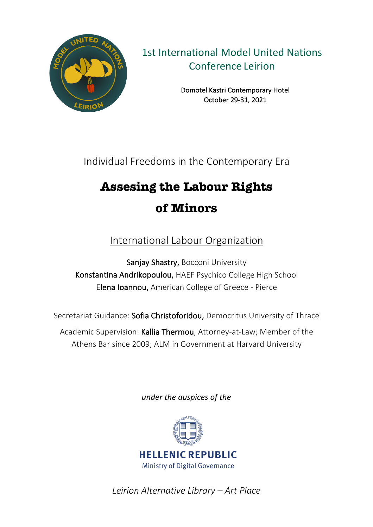

1st International Model United Nations Conference Leirion

> Domotel Kastri Contemporary Hotel October 29-31, 2021

Individual Freedoms in the Contemporary Era

# **Assesing the Labour Rights of Minors**

International Labour Organization

Sanjay Shastry, Bocconi University Konstantina Andrikopoulou, HAEF Psychico College High School Elena Ioannou, American College of Greece - Pierce

Secretariat Guidance: Sofia Christoforidou, Democritus University of Thrace

Academic Supervision: Kallia Thermou, Attorney-at-Law; Member of the Athens Bar since 2009; ALM in Government at Harvard University

*under the auspices of the* 



*Leirion Alternative Library – Art Place*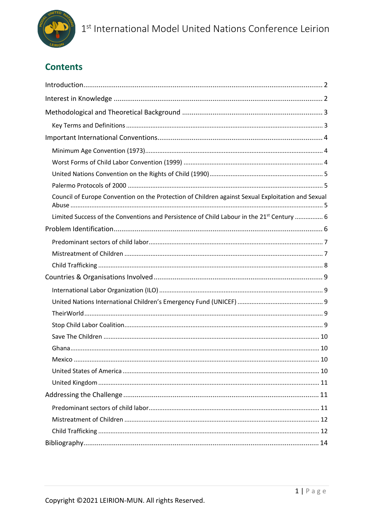

### **Contents**

| Council of Europe Convention on the Protection of Children against Sexual Exploitation and Sexual     |
|-------------------------------------------------------------------------------------------------------|
| Limited Success of the Conventions and Persistence of Child Labour in the 21 <sup>st</sup> Century  6 |
|                                                                                                       |
|                                                                                                       |
|                                                                                                       |
|                                                                                                       |
|                                                                                                       |
|                                                                                                       |
|                                                                                                       |
|                                                                                                       |
|                                                                                                       |
|                                                                                                       |
|                                                                                                       |
|                                                                                                       |
|                                                                                                       |
|                                                                                                       |
|                                                                                                       |
|                                                                                                       |
|                                                                                                       |
|                                                                                                       |
|                                                                                                       |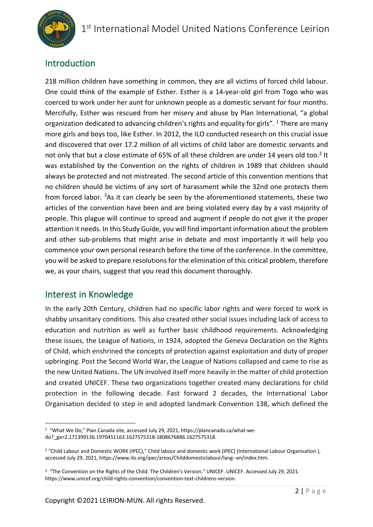

### Introduction

218 million children have something in common, they are all victims of forced child labour. One could think of the example of Esther. Esther is a 14-year-old girl from Togo who was coerced to work under her aunt for unknown people as a domestic servant for four months. Mercifully, Esther was rescued from her misery and abuse by Plan International, "a global organization dedicated to advancing children's rights and equality for girls". <sup>1</sup> There are many more girls and boys too, like Esther. In 2012, the ILO conducted research on this crucial issue and discovered that over 17.2 million of all victims of child labor are domestic servants and not only that but a close estimate of 65% of all these children are under 14 years old too.<sup>2</sup> It was established by the Convention on the rights of children in 1989 that children should always be protected and not mistreated. The second article of this convention mentions that no children should be victims of any sort of harassment while the 32nd one protects them from forced labor. <sup>3</sup>As it can clearly be seen by the aforementioned statements, these two articles of the convention have been and are being violated every day by a vast majority of people. This plague will continue to spread and augment if people do not give it the proper attention it needs. In this Study Guide, you will find important information about the problem and other sub-problems that might arise in debate and most importantly it will help you commence your own personal research before the time of the conference. In the committee, you will be asked to prepare resolutions for the elimination of this critical problem, therefore we, as your chairs, suggest that you read this document thoroughly.

### Interest in Knowledge

In the early 20th Century, children had no specific labor rights and were forced to work in shabby unsanitary conditions. This also created other social issues including lack of access to education and nutrition as well as further basic childhood requirements. Acknowledging these issues, the League of Nations, in 1924, adopted the Geneva Declaration on the Rights of Child, which enshrined the concepts of protection against exploitation and duty of proper upbringing. Post the Second World War, the League of Nations collapsed and came to rise as the new United Nations. The UN involved itself more heavily in the matter of child protection and created UNICEF. These two organizations together created many declarations for child protection in the following decade. Fast forward 2 decades, the International Labor Organisation decided to step in and adopted landmark Convention 138, which defined the

<sup>1</sup> "What We Do," Plan Canada site, accessed July 29, 2021, https://plancanada.ca/what-wedo?\_ga=2.171399136.1970451163.1627575318-1808676886.1627575318.

<sup>&</sup>lt;sup>2</sup> "Child Labour and Domestic WORK (IPEC)," Child labour and domestic work (IPEC) (International Labour Organisation ), accessed July 29, 2021, https://www.ilo.org/ipec/areas/Childdomesticlabour/lang--en/index.htm.

<sup>&</sup>lt;sup>3</sup> "The Convention on the Rights of the Child: The Children's Version." UNICEF. UNICEF. Accessed July 29, 2021. https://www.unicef.org/child-rights-convention/convention-text-childrens-version.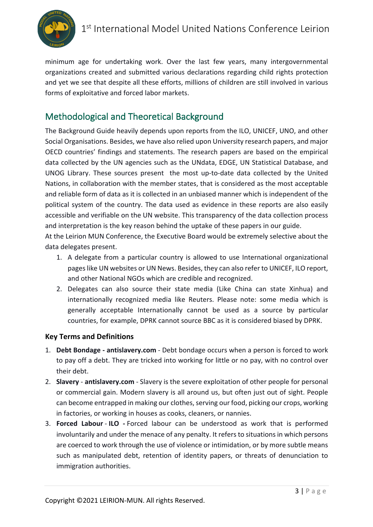

minimum age for undertaking work. Over the last few years, many intergovernmental organizations created and submitted various declarations regarding child rights protection and yet we see that despite all these efforts, millions of children are still involved in various forms of exploitative and forced labor markets.

### Methodological and Theoretical Background

The Background Guide heavily depends upon reports from the ILO, UNICEF, UNO, and other Social Organisations. Besides, we have also relied upon University research papers, and major OECD countries' findings and statements. The research papers are based on the empirical data collected by the UN agencies such as the UNdata, EDGE, UN Statistical Database, and UNOG Library. These sources present the most up-to-date data collected by the United Nations, in collaboration with the member states, that is considered as the most acceptable and reliable form of data as it is collected in an unbiased manner which is independent of the political system of the country. The data used as evidence in these reports are also easily accessible and verifiable on the UN website. This transparency of the data collection process and interpretation is the key reason behind the uptake of these papers in our guide.

At the Leirion MUN Conference, the Executive Board would be extremely selective about the data delegates present.

- 1. A delegate from a particular country is allowed to use International organizational pages like UN websites or UN News. Besides, they can also refer to UNICEF, ILO report, and other National NGOs which are credible and recognized.
- 2. Delegates can also source their state media (Like China can state Xinhua) and internationally recognized media like Reuters. Please note: some media which is generally acceptable Internationally cannot be used as a source by particular countries, for example, DPRK cannot source BBC as it is considered biased by DPRK.

### **Key Terms and Definitions**

- 1. **Debt Bondage - antislavery.com** Debt bondage occurs when a person is forced to work to pay off a debt. They are tricked into working for little or no pay, with no control over their debt.
- 2. **Slavery antislavery.com** Slavery is the severe exploitation of other people for personal or commercial gain. Modern slavery is all around us, but often just out of sight. People can become entrapped in making our clothes, serving our food, picking our crops, working in factories, or working in houses as cooks, cleaners, or nannies.
- 3. **Forced Labour ILO -** Forced labour can be understood as work that is performed involuntarily and under the menace of any penalty. It refers to situations in which persons are coerced to work through the use of violence or intimidation, or by more subtle means such as manipulated debt, retention of identity papers, or threats of denunciation to immigration authorities.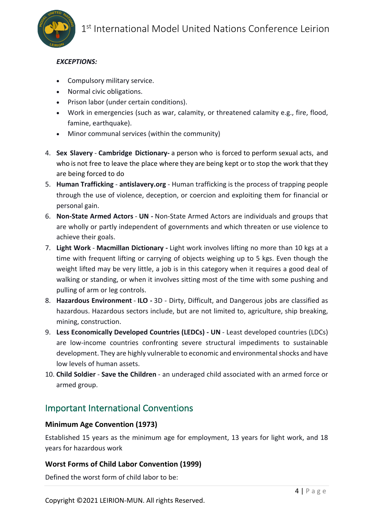

#### *EXCEPTIONS:*

- Compulsory military service.
- Normal civic obligations.
- Prison labor (under certain conditions).
- Work in emergencies (such as war, calamity, or threatened calamity e.g., fire, flood, famine, earthquake).
- Minor communal services (within the community)
- 4. **Sex Slavery Cambridge Dictionary-** a person who is forced to perform sexual acts, and who is not free to leave the place where they are being kept or to stop the work that they are being forced to do
- 5. **Human Trafficking antislavery.org** Human trafficking is the process of trapping people through the use of violence, deception, or coercion and exploiting them for financial or personal gain.
- 6. **Non-State Armed Actors UN -** Non-State Armed Actors are individuals and groups that are wholly or partly independent of governments and which threaten or use violence to achieve their goals.
- 7. **Light Work Macmillan Dictionary -** Light work involves lifting no more than 10 kgs at a time with frequent lifting or carrying of objects weighing up to 5 kgs. Even though the weight lifted may be very little, a job is in this category when it requires a good deal of walking or standing, or when it involves sitting most of the time with some pushing and pulling of arm or leg controls.
- 8. **Hazardous Environment ILO -** 3D Dirty, Difficult, and Dangerous jobs are classified as hazardous. Hazardous sectors include, but are not limited to, agriculture, ship breaking, mining, construction.
- 9. **Less Economically Developed Countries (LEDCs) - UN** Least developed countries (LDCs) are low-income countries confronting severe structural impediments to sustainable development. They are highly vulnerable to economic and environmental shocks and have low levels of human assets.
- 10. **Child Soldier Save the Children** an underaged child associated with an armed force or armed group.

### Ιmportant International Conventions

#### **Minimum Age Convention (1973)**

Established 15 years as the minimum age for employment, 13 years for light work, and 18 years for hazardous work

#### **Worst Forms of Child Labor Convention (1999)**

Defined the worst form of child labor to be: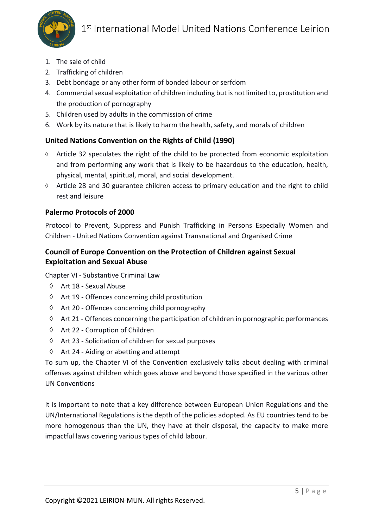

- 1. The sale of child
- 2. Trafficking of children
- 3. Debt bondage or any other form of bonded labour or serfdom
- 4. Commercial sexual exploitation of children including but is not limited to, prostitution and the production of pornography
- 5. Children used by adults in the commission of crime
- 6. Work by its nature that is likely to harm the health, safety, and morals of children

### **United Nations Convention on the Rights of Child (1990)**

- à Article 32 speculates the right of the child to be protected from economic exploitation and from performing any work that is likely to be hazardous to the education, health, physical, mental, spiritual, moral, and social development.
- $\Diamond$  Article 28 and 30 guarantee children access to primary education and the right to child rest and leisure

#### **Palermo Protocols of 2000**

Protocol to Prevent, Suppress and Punish Trafficking in Persons Especially Women and Children - United Nations Convention against Transnational and Organised Crime

### **Council of Europe Convention on the Protection of Children against Sexual Exploitation and Sexual Abuse**

Chapter VI - Substantive Criminal Law

- $\Diamond$  Art 18 Sexual Abuse
- $\Diamond$  Art 19 Offences concerning child prostitution
- $\Diamond$  Art 20 Offences concerning child pornography
- $\Diamond$  Art 21 Offences concerning the participation of children in pornographic performances
- à Art 22 Corruption of Children
- $\Diamond$  Art 23 Solicitation of children for sexual purposes
- $\Diamond$  Art 24 Aiding or abetting and attempt

To sum up, the Chapter VI of the Convention exclusively talks about dealing with criminal offenses against children which goes above and beyond those specified in the various other UN Conventions

It is important to note that a key difference between European Union Regulations and the UN/International Regulations is the depth of the policies adopted. As EU countries tend to be more homogenous than the UN, they have at their disposal, the capacity to make more impactful laws covering various types of child labour.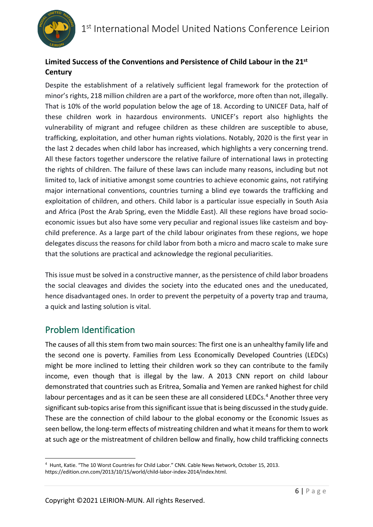### **Limited Success of the Conventions and Persistence of Child Labour in the 21st Century**

Despite the establishment of a relatively sufficient legal framework for the protection of minor's rights, 218 million children are a part of the workforce, more often than not, illegally. That is 10% of the world population below the age of 18. According to UNICEF Data, half of these children work in hazardous environments. UNICEF's report also highlights the vulnerability of migrant and refugee children as these children are susceptible to abuse, trafficking, exploitation, and other human rights violations. Notably, 2020 is the first year in the last 2 decades when child labor has increased, which highlights a very concerning trend. All these factors together underscore the relative failure of international laws in protecting the rights of children. The failure of these laws can include many reasons, including but not limited to, lack of initiative amongst some countries to achieve economic gains, not ratifying major international conventions, countries turning a blind eye towards the trafficking and exploitation of children, and others. Child labor is a particular issue especially in South Asia and Africa (Post the Arab Spring, even the Middle East). All these regions have broad socioeconomic issues but also have some very peculiar and regional issues like casteism and boychild preference. As a large part of the child labour originates from these regions, we hope delegates discuss the reasons for child labor from both a micro and macro scale to make sure that the solutions are practical and acknowledge the regional peculiarities.

This issue must be solved in a constructive manner, as the persistence of child labor broadens the social cleavages and divides the society into the educated ones and the uneducated, hence disadvantaged ones. In order to prevent the perpetuity of a poverty trap and trauma, a quick and lasting solution is vital.

### Problem Identification

The causes of all this stem from two main sources: The first one is an unhealthy family life and the second one is poverty. Families from Less Economically Developed Countries (LEDCs) might be more inclined to letting their children work so they can contribute to the family income, even though that is illegal by the law. A 2013 CNN report on child labour demonstrated that countries such as Eritrea, Somalia and Yemen are ranked highest for child labour percentages and as it can be seen these are all considered LEDCs.<sup>4</sup> Another three very significant sub-topics arise from this significant issue that is being discussed in the study guide. These are the connection of child labour to the global economy or the Economic Issues as seen bellow, the long-term effects of mistreating children and what it means for them to work at such age or the mistreatment of children bellow and finally, how child trafficking connects

<sup>4</sup> Hunt, Katie. "The 10 Worst Countries for Child Labor." CNN. Cable News Network, October 15, 2013. https://edition.cnn.com/2013/10/15/world/child-labor-index-2014/index.html.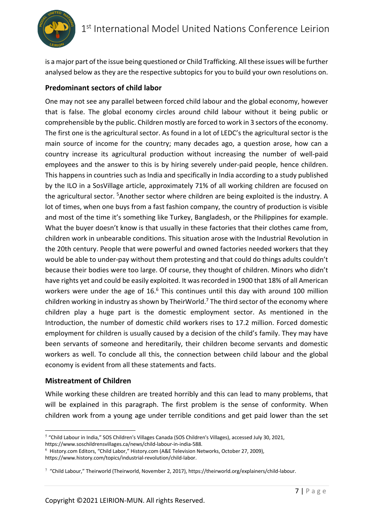

is a major part of the issue being questioned or Child Trafficking. All these issues will be further analysed below as they are the respective subtopics for you to build your own resolutions on.

### **Predominant sectors of child labor**

One may not see any parallel between forced child labour and the global economy, however that is false. The global economy circles around child labour without it being public or comprehensible by the public. Children mostly are forced to work in 3 sectors of the economy. The first one is the agricultural sector. As found in a lot of LEDC's the agricultural sector is the main source of income for the country; many decades ago, a question arose, how can a country increase its agricultural production without increasing the number of well-paid employees and the answer to this is by hiring severely under-paid people, hence children. This happens in countries such as India and specifically in India according to a study published by the ILO in a SosVillage article, approximately 71% of all working children are focused on the agricultural sector. <sup>5</sup>Another sector where children are being exploited is the industry. A lot of times, when one buys from a fast fashion company, the country of production is visible and most of the time it's something like Turkey, Bangladesh, or the Philippines for example. What the buyer doesn't know is that usually in these factories that their clothes came from, children work in unbearable conditions. This situation arose with the Industrial Revolution in the 20th century. People that were powerful and owned factories needed workers that they would be able to under-pay without them protesting and that could do things adults couldn't because their bodies were too large. Of course, they thought of children. Minors who didn't have rights yet and could be easily exploited. It was recorded in 1900 that 18% of all American workers were under the age of 16.<sup>6</sup> This continues until this day with around 100 million children working in industry as shown by TheirWorld.<sup>7</sup> The third sector of the economy where children play a huge part is the domestic employment sector. As mentioned in the Introduction, the number of domestic child workers rises to 17.2 million. Forced domestic employment for children is usually caused by a decision of the child's family. They may have been servants of someone and hereditarily, their children become servants and domestic workers as well. To conclude all this, the connection between child labour and the global economy is evident from all these statements and facts.

### **Mistreatment of Children**

While working these children are treated horribly and this can lead to many problems, that will be explained in this paragraph. The first problem is the sense of conformity. When children work from a young age under terrible conditions and get paid lower than the set

<sup>5</sup> "Child Labour in India," SOS Children's Villages Canada (SOS Children's Villages), accessed July 30, 2021, https://www.soschildrensvillages.ca/news/child-labour-in-india-588.

<sup>6</sup> History.com Editors, "Child Labor," History.com (A&E Television Networks, October 27, 2009),

https://www.history.com/topics/industrial-revolution/child-labor.

 $7$  "Child Labour," Theirworld (Theirworld, November 2, 2017), https://theirworld.org/explainers/child-labour.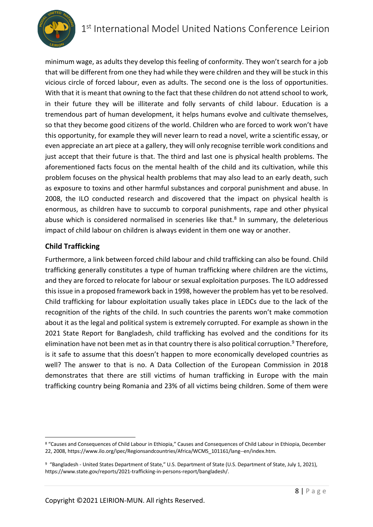

minimum wage, as adults they develop this feeling of conformity. They won't search for a job that will be different from one they had while they were children and they will be stuck in this vicious circle of forced labour, even as adults. The second one is the loss of opportunities. With that it is meant that owning to the fact that these children do not attend school to work, in their future they will be illiterate and folly servants of child labour. Education is a tremendous part of human development, it helps humans evolve and cultivate themselves, so that they become good citizens of the world. Children who are forced to work won't have this opportunity, for example they will never learn to read a novel, write a scientific essay, or even appreciate an art piece at a gallery, they will only recognise terrible work conditions and just accept that their future is that. The third and last one is physical health problems. The aforementioned facts focus on the mental health of the child and its cultivation, while this problem focuses on the physical health problems that may also lead to an early death, such as exposure to toxins and other harmful substances and corporal punishment and abuse. In 2008, the ILO conducted research and discovered that the impact on physical health is enormous, as children have to succumb to corporal punishments, rape and other physical abuse which is considered normalised in sceneries like that.<sup>8</sup> In summary, the deleterious impact of child labour on children is always evident in them one way or another.

### **Child Trafficking**

Furthermore, a link between forced child labour and child trafficking can also be found. Child trafficking generally constitutes a type of human trafficking where children are the victims, and they are forced to relocate for labour or sexual exploitation purposes. The ILO addressed this issue in a proposed framework back in 1998, however the problem has yet to be resolved. Child trafficking for labour exploitation usually takes place in LEDCs due to the lack of the recognition of the rights of the child. In such countries the parents won't make commotion about it as the legal and political system is extremely corrupted. For example as shown in the 2021 State Report for Bangladesh, child trafficking has evolved and the conditions for its elimination have not been met as in that country there is also political corruption.<sup>9</sup> Therefore, is it safe to assume that this doesn't happen to more economically developed countries as well? The answer to that is no. A Data Collection of the European Commission in 2018 demonstrates that there are still victims of human trafficking in Europe with the main trafficking country being Romania and 23% of all victims being children. Some of them were

<sup>8</sup> "Causes and Consequences of Child Labour in Ethiopia," Causes and Consequences of Child Labour in Ethiopia, December 22, 2008, https://www.ilo.org/ipec/Regionsandcountries/Africa/WCMS\_101161/lang--en/index.htm.

<sup>9</sup> "Bangladesh - United States Department of State," U.S. Department of State (U.S. Department of State, July 1, 2021), https://www.state.gov/reports/2021-trafficking-in-persons-report/bangladesh/.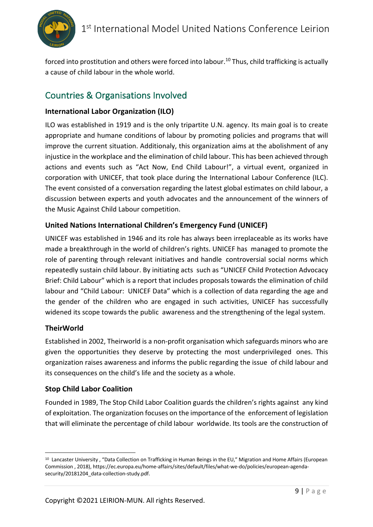

forced into prostitution and others were forced into labour.<sup>10</sup> Thus, child trafficking is actually a cause of child labour in the whole world.

### Countries & Organisations Involved

### **International Labor Organization (ILO)**

ILO was established in 1919 and is the only tripartite U.N. agency. Its main goal is to create appropriate and humane conditions of labour by promoting policies and programs that will improve the current situation. Additionaly, this organization aims at the abolishment of any injustice in the workplace and the elimination of child labour. This has been achieved through actions and events such as "Act Now, End Child Labour!", a virtual event, organized in corporation with UNICEF, that took place during the International Labour Conference (ILC). The event consisted of a conversation regarding the latest global estimates on child labour, a discussion between experts and youth advocates and the announcement of the winners of the Music Against Child Labour competition.

### **United Nations International Children's Emergency Fund (UNICEF)**

UNICEF was established in 1946 and its role has always been irreplaceable as its works have made a breakthrough in the world of children's rights. UNICEF has managed to promote the role of parenting through relevant initiatives and handle controversial social norms which repeatedly sustain child labour. By initiating acts such as "UNICEF Child Protection Advocacy Brief: Child Labour" which is a report that includes proposals towards the elimination of child labour and "Child Labour: UNICEF Data" which is a collection of data regarding the age and the gender of the children who are engaged in such activities, UNICEF has successfully widened its scope towards the public awareness and the strengthening of the legal system.

### **TheirWorld**

Established in 2002, Theirworld is a non-profit organisation which safeguards minors who are given the opportunities they deserve by protecting the most underprivileged ones. This organization raises awareness and informs the public regarding the issue of child labour and its consequences on the child's life and the society as a whole.

### **Stop Child Labor Coalition**

Founded in 1989, The Stop Child Labor Coalition guards the children's rights against any kind of exploitation. The organization focuses on the importance of the enforcement of legislation that will eliminate the percentage of child labour worldwide. Its tools are the construction of

<sup>10</sup> Lancaster University, "Data Collection on Trafficking in Human Beings in the EU," Migration and Home Affairs (European Commission , 2018), https://ec.europa.eu/home-affairs/sites/default/files/what-we-do/policies/european-agendasecurity/20181204\_data-collection-study.pdf.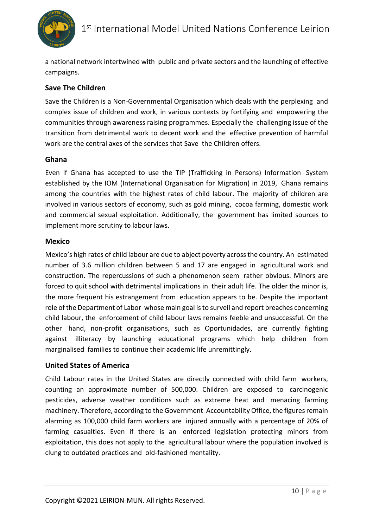

a national network intertwined with public and private sectors and the launching of effective campaigns.

### **Save The Children**

Save the Children is a Non-Governmental Organisation which deals with the perplexing and complex issue of children and work, in various contexts by fortifying and empowering the communities through awareness raising programmes. Especially the challenging issue of the transition from detrimental work to decent work and the effective prevention of harmful work are the central axes of the services that Save the Children offers.

#### **Ghana**

Even if Ghana has accepted to use the TIP (Trafficking in Persons) Information System established by the IOM (International Organisation for Migration) in 2019, Ghana remains among the countries with the highest rates of child labour. The majority of children are involved in various sectors of economy, such as gold mining, cocoa farming, domestic work and commercial sexual exploitation. Additionally, the government has limited sources to implement more scrutiny to labour laws.

#### **Mexico**

Mexico's high rates of child labour are due to abject poverty across the country. An estimated number of 3.6 million children between 5 and 17 are engaged in agricultural work and construction. The repercussions of such a phenomenon seem rather obvious. Minors are forced to quit school with detrimental implications in their adult life. The older the minor is, the more frequent his estrangement from education appears to be. Despite the important role of the Department of Labor whose main goal is to surveil and report breaches concerning child labour, the enforcement of child labour laws remains feeble and unsuccessful. On the other hand, non-profit organisations, such as Oportunidades, are currently fighting against illiteracy by launching educational programs which help children from marginalised families to continue their academic life unremittingly.

#### **United States of America**

Child Labour rates in the United States are directly connected with child farm workers, counting an approximate number of 500,000. Children are exposed to carcinogenic pesticides, adverse weather conditions such as extreme heat and menacing farming machinery. Therefore, according to the Government Accountability Office, the figures remain alarming as 100,000 child farm workers are injured annually with a percentage of 20% of farming casualties. Even if there is an enforced legislation protecting minors from exploitation, this does not apply to the agricultural labour where the population involved is clung to outdated practices and old-fashioned mentality.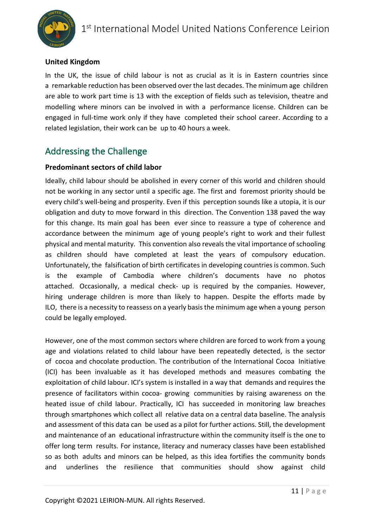### **United Kingdom**

In the UK, the issue of child labour is not as crucial as it is in Eastern countries since a remarkable reduction has been observed over the last decades. The minimum age children are able to work part time is 13 with the exception of fields such as television, theatre and modelling where minors can be involved in with a performance license. Children can be engaged in full-time work only if they have completed their school career. According to a related legislation, their work can be up to 40 hours a week.

### Addressing the Challenge

#### **Predominant sectors of child labor**

Ideally, child labour should be abolished in every corner of this world and children should not be working in any sector until a specific age. The first and foremost priority should be every child's well-being and prosperity. Even if this perception sounds like a utopia, it is our obligation and duty to move forward in this direction. The Convention 138 paved the way for this change. Its main goal has been ever since to reassure a type of coherence and accordance between the minimum age of young people's right to work and their fullest physical and mental maturity. This convention also reveals the vital importance of schooling as children should have completed at least the years of compulsory education. Unfortunately, the falsification of birth certificates in developing countries is common. Such is the example of Cambodia where children's documents have no photos attached. Occasionally, a medical check- up is required by the companies. However, hiring underage children is more than likely to happen. Despite the efforts made by ILO, there is a necessity to reassess on a yearly basis the minimum age when a young person could be legally employed.

However, one of the most common sectors where children are forced to work from a young age and violations related to child labour have been repeatedly detected, is the sector of cocoa and chocolate production. The contribution of the International Cocoa Initiative (ICI) has been invaluable as it has developed methods and measures combating the exploitation of child labour. ICI's system is installed in a way that demands and requires the presence of facilitators within cocoa- growing communities by raising awareness on the heated issue of child labour. Practically, ICI has succeeded in monitoring law breaches through smartphones which collect all relative data on a central data baseline. The analysis and assessment of this data can be used as a pilot for further actions. Still, the development and maintenance of an educational infrastructure within the community itself is the one to offer long term results. For instance, literacy and numeracy classes have been established so as both adults and minors can be helped, as this idea fortifies the community bonds and underlines the resilience that communities should show against child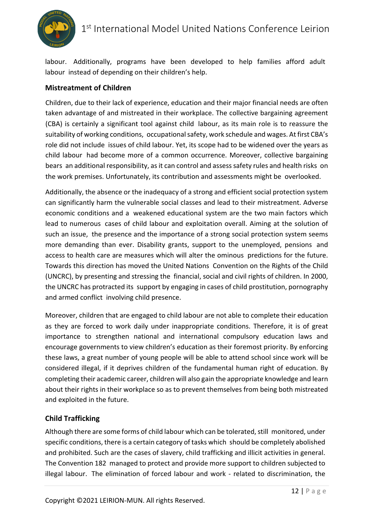

labour. Additionally, programs have been developed to help families afford adult labour instead of depending on their children's help.

### **Mistreatment of Children**

Children, due to their lack of experience, education and their major financial needs are often taken advantage of and mistreated in their workplace. The collective bargaining agreement (CBA) is certainly a significant tool against child labour, as its main role is to reassure the suitability of working conditions, occupational safety, work schedule and wages. At first CBA's role did not include issues of child labour. Yet, its scope had to be widened over the years as child labour had become more of a common occurrence. Moreover, collective bargaining bears an additional responsibility, as it can control and assess safety rules and health risks on the work premises. Unfortunately, its contribution and assessments might be overlooked.

Additionally, the absence or the inadequacy of a strong and efficient social protection system can significantly harm the vulnerable social classes and lead to their mistreatment. Adverse economic conditions and a weakened educational system are the two main factors which lead to numerous cases of child labour and exploitation overall. Aiming at the solution of such an issue, the presence and the importance of a strong social protection system seems more demanding than ever. Disability grants, support to the unemployed, pensions and access to health care are measures which will alter the ominous predictions for the future. Towards this direction has moved the United Nations Convention on the Rights of the Child (UNCRC), by presenting and stressing the financial, social and civil rights of children. In 2000, the UNCRC has protracted its support by engaging in cases of child prostitution, pornography and armed conflict involving child presence.

Moreover, children that are engaged to child labour are not able to complete their education as they are forced to work daily under inappropriate conditions. Therefore, it is of great importance to strengthen national and international compulsory education laws and encourage governments to view children's education as their foremost priority. By enforcing these laws, a great number of young people will be able to attend school since work will be considered illegal, if it deprives children of the fundamental human right of education. By completing their academic career, children will also gain the appropriate knowledge and learn about their rights in their workplace so as to prevent themselves from being both mistreated and exploited in the future.

### **Child Trafficking**

Although there are some forms of child labour which can be tolerated, still monitored, under specific conditions, there is a certain category of tasks which should be completely abolished and prohibited. Such are the cases of slavery, child trafficking and illicit activities in general. The Convention 182 managed to protect and provide more support to children subjected to illegal labour. The elimination of forced labour and work - related to discrimination, the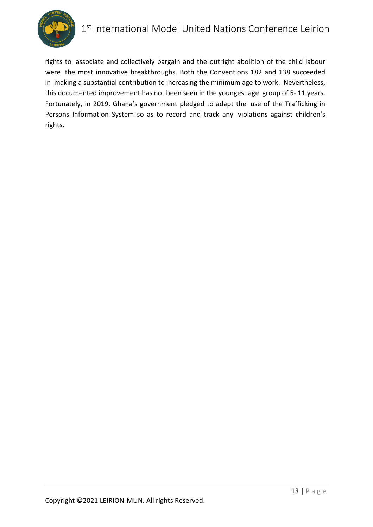

## 1<sup>st</sup> International Model United Nations Conference Leirion

rights to associate and collectively bargain and the outright abolition of the child labour were the most innovative breakthroughs. Both the Conventions 182 and 138 succeeded in making a substantial contribution to increasing the minimum age to work. Nevertheless, this documented improvement has not been seen in the youngest age group of 5- 11 years. Fortunately, in 2019, Ghana's government pledged to adapt the use of the Trafficking in Persons Information System so as to record and track any violations against children's rights.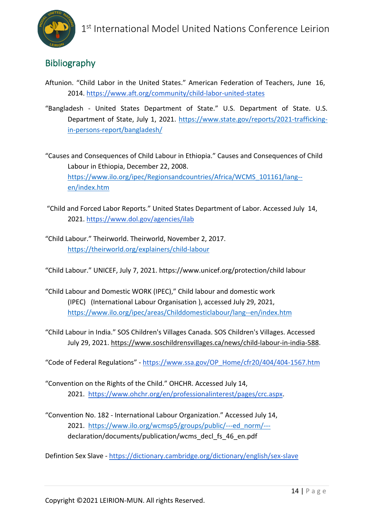

### Bibliography

- Aftunion. "Child Labor in the United States." American Federation of Teachers, June 16, 2014. https://www.aft.org/community/child-labor-united-states
- "Bangladesh United States Department of State." U.S. Department of State. U.S. Department of State, July 1, 2021. https://www.state.gov/reports/2021-traffickingin-persons-report/bangladesh/
- "Causes and Consequences of Child Labour in Ethiopia." Causes and Consequences of Child Labour in Ethiopia, December 22, 2008. https://www.ilo.org/ipec/Regionsandcountries/Africa/WCMS\_101161/lang- en/index.htm
- "Child and Forced Labor Reports." United States Department of Labor. Accessed July 14, 2021. https://www.dol.gov/agencies/ilab
- "Child Labour." Theirworld. Theirworld, November 2, 2017. https://theirworld.org/explainers/child-labour

"Child Labour." UNICEF, July 7, 2021. https://www.unicef.org/protection/child labour

- "Child Labour and Domestic WORK (IPEC)," Child labour and domestic work (IPEC) (International Labour Organisation ), accessed July 29, 2021, https://www.ilo.org/ipec/areas/Childdomesticlabour/lang--en/index.htm
- "Child Labour in India." SOS Children's Villages Canada. SOS Children's Villages. Accessed July 29, 2021. https://www.soschildrensvillages.ca/news/child-labour-in-india-588.

"Code of Federal Regulations" - https://www.ssa.gov/OP\_Home/cfr20/404/404-1567.htm

- "Convention on the Rights of the Child." OHCHR. Accessed July 14, 2021. https://www.ohchr.org/en/professionalinterest/pages/crc.aspx.
- "Convention No. 182 International Labour Organization." Accessed July 14, 2021. https://www.ilo.org/wcmsp5/groups/public/---ed\_norm/-- declaration/documents/publication/wcms\_decl\_fs\_46\_en.pdf

Defintion Sex Slave - https://dictionary.cambridge.org/dictionary/english/sex-slave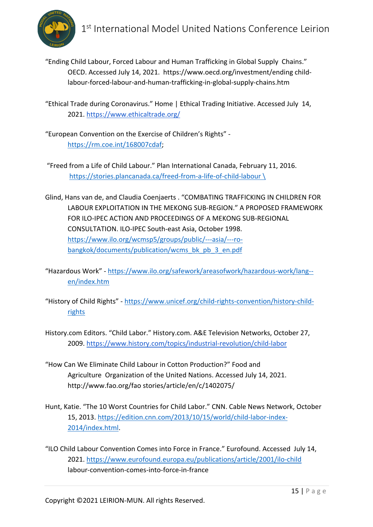

"Ending Child Labour, Forced Labour and Human Trafficking in Global Supply Chains." OECD. Accessed July 14, 2021. https://www.oecd.org/investment/ending childlabour-forced-labour-and-human-trafficking-in-global-supply-chains.htm

"Ethical Trade during Coronavirus." Home | Ethical Trading Initiative. Accessed July 14, 2021. https://www.ethicaltrade.org/

"European Convention on the Exercise of Children's Rights" https://rm.coe.int/168007cdaf;

"Freed from a Life of Child Labour." Plan International Canada, February 11, 2016. https://stories.plancanada.ca/freed-from-a-life-of-child-labour \

Glind, Hans van de, and Claudia Coenjaerts . "COMBATING TRAFFICKING IN CHILDREN FOR LABOUR EXPLOITATION IN THE MEKONG SUB-REGION." A PROPOSED FRAMEWORK FOR ILO-IPEC ACTION AND PROCEEDINGS OF A MEKONG SUB-REGIONAL CONSULTATION. ILO-IPEC South-east Asia, October 1998. https://www.ilo.org/wcmsp5/groups/public/---asia/---robangkok/documents/publication/wcms\_bk\_pb\_3\_en.pdf

"Hazardous Work" - https://www.ilo.org/safework/areasofwork/hazardous-work/lang- en/index.htm

"History of Child Rights" - https://www.unicef.org/child-rights-convention/history-childrights

History.com Editors. "Child Labor." History.com. A&E Television Networks, October 27, 2009. https://www.history.com/topics/industrial-revolution/child-labor

"How Can We Eliminate Child Labour in Cotton Production?" Food and Agriculture Organization of the United Nations. Accessed July 14, 2021. http://www.fao.org/fao stories/article/en/c/1402075/

Hunt, Katie. "The 10 Worst Countries for Child Labor." CNN. Cable News Network, October 15, 2013. https://edition.cnn.com/2013/10/15/world/child-labor-index-2014/index.html.

"ILO Child Labour Convention Comes into Force in France." Eurofound. Accessed July 14, 2021. https://www.eurofound.europa.eu/publications/article/2001/ilo-child labour-convention-comes-into-force-in-france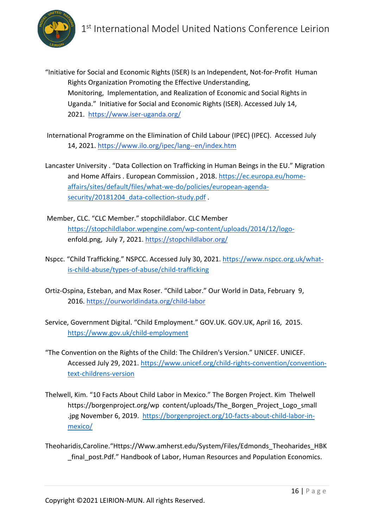

"Initiative for Social and Economic Rights (ISER) Is an Independent, Not-for-Profit Human Rights Organization Promoting the Effective Understanding, Monitoring, Implementation, and Realization of Economic and Social Rights in Uganda." Initiative for Social and Economic Rights (ISER). Accessed July 14, 2021. https://www.iser-uganda.org/

International Programme on the Elimination of Child Labour (IPEC) (IPEC). Accessed July 14, 2021. https://www.ilo.org/ipec/lang--en/index.htm

- Lancaster University . "Data Collection on Trafficking in Human Beings in the EU." Migration and Home Affairs . European Commission , 2018. https://ec.europa.eu/homeaffairs/sites/default/files/what-we-do/policies/european-agendasecurity/20181204\_data-collection-study.pdf .
- Member, CLC. "CLC Member." stopchildlabor. CLC Member https://stopchildlabor.wpengine.com/wp-content/uploads/2014/12/logoenfold.png, July 7, 2021. https://stopchildlabor.org/
- Nspcc. "Child Trafficking." NSPCC. Accessed July 30, 2021. https://www.nspcc.org.uk/whatis-child-abuse/types-of-abuse/child-trafficking
- Ortiz-Ospina, Esteban, and Max Roser. "Child Labor." Our World in Data, February 9, 2016. https://ourworldindata.org/child-labor
- Service, Government Digital. "Child Employment." GOV.UK. GOV.UK, April 16, 2015. https://www.gov.uk/child-employment
- "The Convention on the Rights of the Child: The Children's Version." UNICEF. UNICEF. Accessed July 29, 2021. https://www.unicef.org/child-rights-convention/conventiontext-childrens-version
- Thelwell, Kim. "10 Facts About Child Labor in Mexico." The Borgen Project. Kim Thelwell https://borgenproject.org/wp content/uploads/The\_Borgen\_Project\_Logo\_small .jpg November 6, 2019. https://borgenproject.org/10-facts-about-child-labor-inmexico/
- Theoharidis,Caroline."Https://Www.amherst.edu/System/Files/Edmonds\_Theoharides\_HBK final post.Pdf." Handbook of Labor, Human Resources and Population Economics.